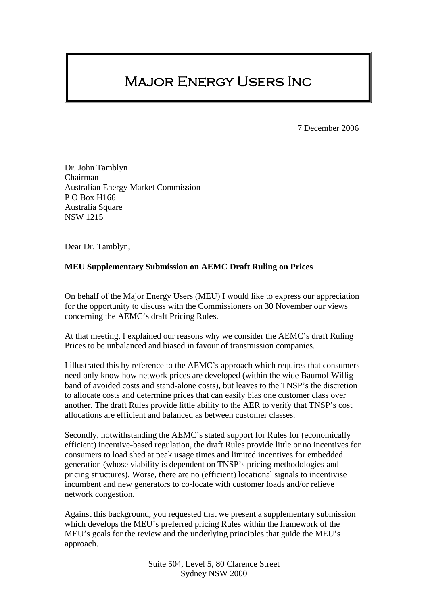# Major Energy Users Inc

7 December 2006

Dr. John Tamblyn Chairman Australian Energy Market Commission P O Box H166 Australia Square NSW 1215

Dear Dr. Tamblyn,

## **MEU Supplementary Submission on AEMC Draft Ruling on Prices**

On behalf of the Major Energy Users (MEU) I would like to express our appreciation for the opportunity to discuss with the Commissioners on 30 November our views concerning the AEMC's draft Pricing Rules.

At that meeting, I explained our reasons why we consider the AEMC's draft Ruling Prices to be unbalanced and biased in favour of transmission companies.

I illustrated this by reference to the AEMC's approach which requires that consumers need only know how network prices are developed (within the wide Baumol-Willig band of avoided costs and stand-alone costs), but leaves to the TNSP's the discretion to allocate costs and determine prices that can easily bias one customer class over another. The draft Rules provide little ability to the AER to verify that TNSP's cost allocations are efficient and balanced as between customer classes.

Secondly, notwithstanding the AEMC's stated support for Rules for (economically efficient) incentive-based regulation, the draft Rules provide little or no incentives for consumers to load shed at peak usage times and limited incentives for embedded generation (whose viability is dependent on TNSP's pricing methodologies and pricing structures). Worse, there are no (efficient) locational signals to incentivise incumbent and new generators to co-locate with customer loads and/or relieve network congestion.

Against this background, you requested that we present a supplementary submission which develops the MEU's preferred pricing Rules within the framework of the MEU's goals for the review and the underlying principles that guide the MEU's approach.

> Suite 504, Level 5, 80 Clarence Street Sydney NSW 2000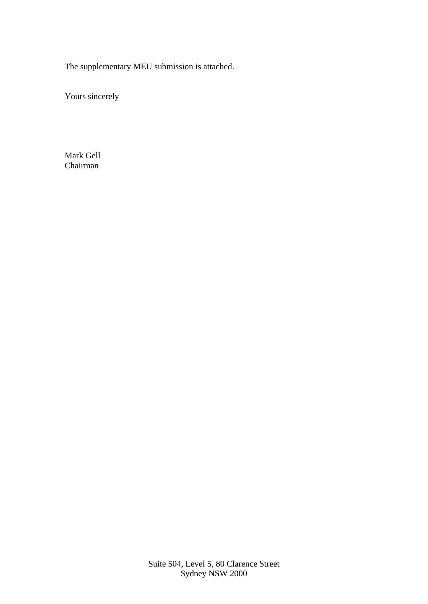The supplementary MEU submission is attached.

Yours sincerely

Mark Gell Chairman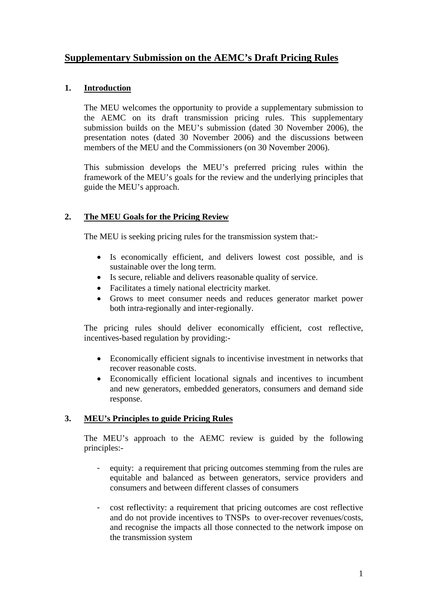## **Supplementary Submission on the AEMC's Draft Pricing Rules**

## **1. Introduction**

The MEU welcomes the opportunity to provide a supplementary submission to the AEMC on its draft transmission pricing rules. This supplementary submission builds on the MEU's submission (dated 30 November 2006), the presentation notes (dated 30 November 2006) and the discussions between members of the MEU and the Commissioners (on 30 November 2006).

This submission develops the MEU's preferred pricing rules within the framework of the MEU's goals for the review and the underlying principles that guide the MEU's approach.

## **2. The MEU Goals for the Pricing Review**

The MEU is seeking pricing rules for the transmission system that:-

- Is economically efficient, and delivers lowest cost possible, and is sustainable over the long term.
- Is secure, reliable and delivers reasonable quality of service.
- Facilitates a timely national electricity market.
- Grows to meet consumer needs and reduces generator market power both intra-regionally and inter-regionally.

The pricing rules should deliver economically efficient, cost reflective, incentives-based regulation by providing:-

- Economically efficient signals to incentivise investment in networks that recover reasonable costs.
- Economically efficient locational signals and incentives to incumbent and new generators, embedded generators, consumers and demand side response.

## **3. MEU's Principles to guide Pricing Rules**

The MEU's approach to the AEMC review is guided by the following principles:-

- equity: a requirement that pricing outcomes stemming from the rules are equitable and balanced as between generators, service providers and consumers and between different classes of consumers
- cost reflectivity: a requirement that pricing outcomes are cost reflective and do not provide incentives to TNSPs to over-recover revenues/costs, and recognise the impacts all those connected to the network impose on the transmission system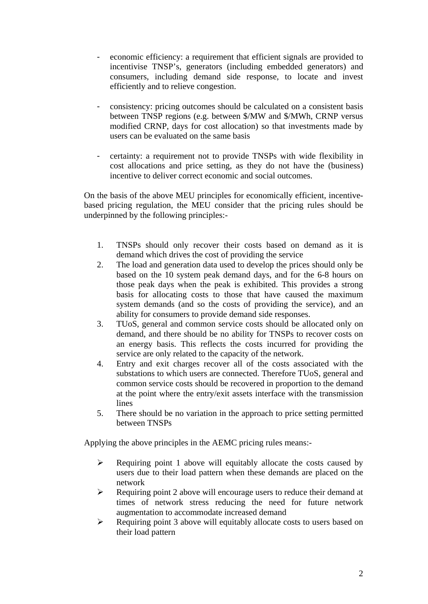- economic efficiency: a requirement that efficient signals are provided to incentivise TNSP's, generators (including embedded generators) and consumers, including demand side response, to locate and invest efficiently and to relieve congestion.
- consistency: pricing outcomes should be calculated on a consistent basis between TNSP regions (e.g. between \$/MW and \$/MWh, CRNP versus modified CRNP, days for cost allocation) so that investments made by users can be evaluated on the same basis
- certainty: a requirement not to provide TNSPs with wide flexibility in cost allocations and price setting, as they do not have the (business) incentive to deliver correct economic and social outcomes.

On the basis of the above MEU principles for economically efficient, incentivebased pricing regulation, the MEU consider that the pricing rules should be underpinned by the following principles:-

- 1. TNSPs should only recover their costs based on demand as it is demand which drives the cost of providing the service
- 2. The load and generation data used to develop the prices should only be based on the 10 system peak demand days, and for the 6-8 hours on those peak days when the peak is exhibited. This provides a strong basis for allocating costs to those that have caused the maximum system demands (and so the costs of providing the service), and an ability for consumers to provide demand side responses.
- 3. TUoS, general and common service costs should be allocated only on demand, and there should be no ability for TNSPs to recover costs on an energy basis. This reflects the costs incurred for providing the service are only related to the capacity of the network.
- 4. Entry and exit charges recover all of the costs associated with the substations to which users are connected. Therefore TUoS, general and common service costs should be recovered in proportion to the demand at the point where the entry/exit assets interface with the transmission lines
- 5. There should be no variation in the approach to price setting permitted between TNSPs

Applying the above principles in the AEMC pricing rules means:-

- $\triangleright$  Requiring point 1 above will equitably allocate the costs caused by users due to their load pattern when these demands are placed on the network
- $\triangleright$  Requiring point 2 above will encourage users to reduce their demand at times of network stress reducing the need for future network augmentation to accommodate increased demand
- $\triangleright$  Requiring point 3 above will equitably allocate costs to users based on their load pattern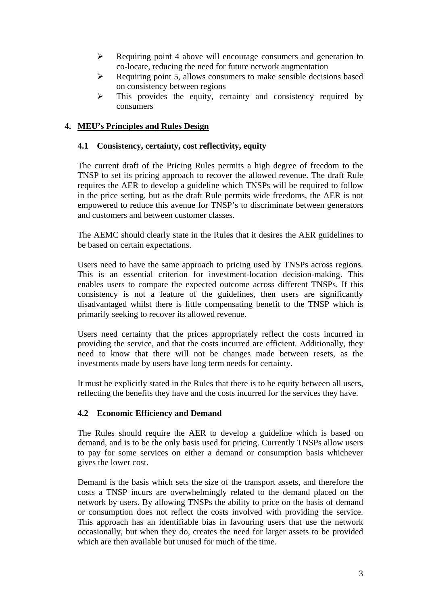- $\triangleright$  Requiring point 4 above will encourage consumers and generation to co-locate, reducing the need for future network augmentation
- $\triangleright$  Requiring point 5, allows consumers to make sensible decisions based on consistency between regions
- $\triangleright$  This provides the equity, certainty and consistency required by consumers

## **4. MEU's Principles and Rules Design**

## **4.1 Consistency, certainty, cost reflectivity, equity**

The current draft of the Pricing Rules permits a high degree of freedom to the TNSP to set its pricing approach to recover the allowed revenue. The draft Rule requires the AER to develop a guideline which TNSPs will be required to follow in the price setting, but as the draft Rule permits wide freedoms, the AER is not empowered to reduce this avenue for TNSP's to discriminate between generators and customers and between customer classes.

The AEMC should clearly state in the Rules that it desires the AER guidelines to be based on certain expectations.

Users need to have the same approach to pricing used by TNSPs across regions. This is an essential criterion for investment-location decision-making. This enables users to compare the expected outcome across different TNSPs. If this consistency is not a feature of the guidelines, then users are significantly disadvantaged whilst there is little compensating benefit to the TNSP which is primarily seeking to recover its allowed revenue.

Users need certainty that the prices appropriately reflect the costs incurred in providing the service, and that the costs incurred are efficient. Additionally, they need to know that there will not be changes made between resets, as the investments made by users have long term needs for certainty.

It must be explicitly stated in the Rules that there is to be equity between all users, reflecting the benefits they have and the costs incurred for the services they have.

## **4.2 Economic Efficiency and Demand**

The Rules should require the AER to develop a guideline which is based on demand, and is to be the only basis used for pricing. Currently TNSPs allow users to pay for some services on either a demand or consumption basis whichever gives the lower cost.

Demand is the basis which sets the size of the transport assets, and therefore the costs a TNSP incurs are overwhelmingly related to the demand placed on the network by users. By allowing TNSPs the ability to price on the basis of demand or consumption does not reflect the costs involved with providing the service. This approach has an identifiable bias in favouring users that use the network occasionally, but when they do, creates the need for larger assets to be provided which are then available but unused for much of the time.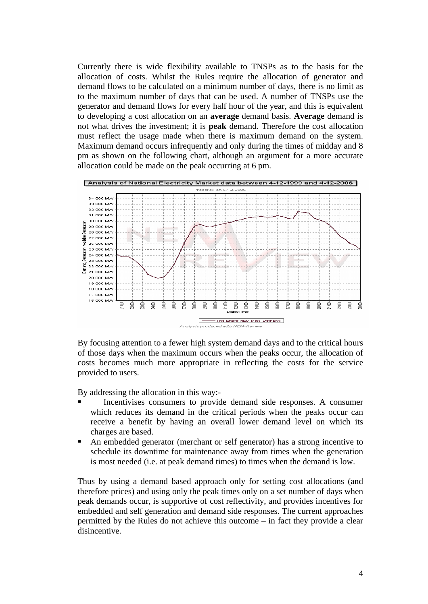Currently there is wide flexibility available to TNSPs as to the basis for the allocation of costs. Whilst the Rules require the allocation of generator and demand flows to be calculated on a minimum number of days, there is no limit as to the maximum number of days that can be used. A number of TNSPs use the generator and demand flows for every half hour of the year, and this is equivalent to developing a cost allocation on an **average** demand basis. **Average** demand is not what drives the investment; it is **peak** demand. Therefore the cost allocation must reflect the usage made when there is maximum demand on the system. Maximum demand occurs infrequently and only during the times of midday and 8 pm as shown on the following chart, although an argument for a more accurate allocation could be made on the peak occurring at 6 pm.



By focusing attention to a fewer high system demand days and to the critical hours of those days when the maximum occurs when the peaks occur, the allocation of costs becomes much more appropriate in reflecting the costs for the service provided to users.

By addressing the allocation in this way:-

- Incentivises consumers to provide demand side responses. A consumer which reduces its demand in the critical periods when the peaks occur can receive a benefit by having an overall lower demand level on which its charges are based.
- An embedded generator (merchant or self generator) has a strong incentive to schedule its downtime for maintenance away from times when the generation is most needed (i.e. at peak demand times) to times when the demand is low.

Thus by using a demand based approach only for setting cost allocations (and therefore prices) and using only the peak times only on a set number of days when peak demands occur, is supportive of cost reflectivity, and provides incentives for embedded and self generation and demand side responses. The current approaches permitted by the Rules do not achieve this outcome – in fact they provide a clear disincentive.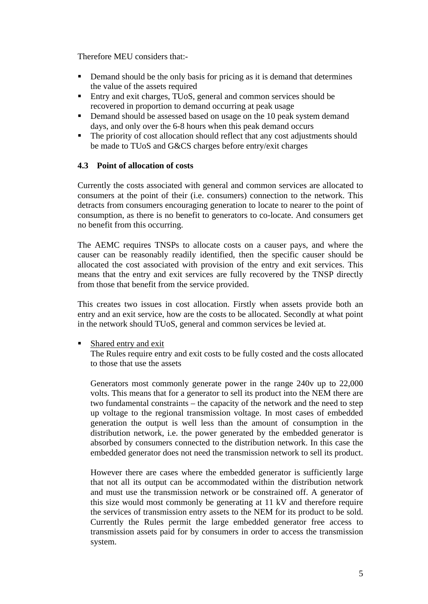Therefore MEU considers that:-

- Demand should be the only basis for pricing as it is demand that determines the value of the assets required
- Entry and exit charges, TUoS, general and common services should be recovered in proportion to demand occurring at peak usage
- Demand should be assessed based on usage on the 10 peak system demand days, and only over the 6-8 hours when this peak demand occurs
- The priority of cost allocation should reflect that any cost adjustments should be made to TUoS and G&CS charges before entry/exit charges

## **4.3 Point of allocation of costs**

Currently the costs associated with general and common services are allocated to consumers at the point of their (i.e. consumers) connection to the network. This detracts from consumers encouraging generation to locate to nearer to the point of consumption, as there is no benefit to generators to co-locate. And consumers get no benefit from this occurring.

The AEMC requires TNSPs to allocate costs on a causer pays, and where the causer can be reasonably readily identified, then the specific causer should be allocated the cost associated with provision of the entry and exit services. This means that the entry and exit services are fully recovered by the TNSP directly from those that benefit from the service provided.

This creates two issues in cost allocation. Firstly when assets provide both an entry and an exit service, how are the costs to be allocated. Secondly at what point in the network should TUoS, general and common services be levied at.

Shared entry and exit

The Rules require entry and exit costs to be fully costed and the costs allocated to those that use the assets

Generators most commonly generate power in the range 240v up to 22,000 volts. This means that for a generator to sell its product into the NEM there are two fundamental constraints – the capacity of the network and the need to step up voltage to the regional transmission voltage. In most cases of embedded generation the output is well less than the amount of consumption in the distribution network, i.e. the power generated by the embedded generator is absorbed by consumers connected to the distribution network. In this case the embedded generator does not need the transmission network to sell its product.

However there are cases where the embedded generator is sufficiently large that not all its output can be accommodated within the distribution network and must use the transmission network or be constrained off. A generator of this size would most commonly be generating at 11 kV and therefore require the services of transmission entry assets to the NEM for its product to be sold. Currently the Rules permit the large embedded generator free access to transmission assets paid for by consumers in order to access the transmission system.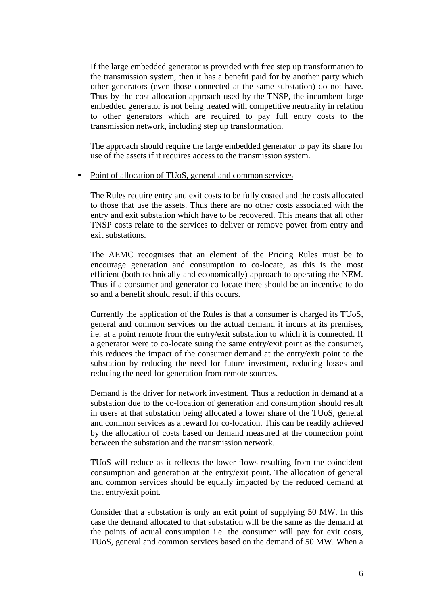If the large embedded generator is provided with free step up transformation to the transmission system, then it has a benefit paid for by another party which other generators (even those connected at the same substation) do not have. Thus by the cost allocation approach used by the TNSP, the incumbent large embedded generator is not being treated with competitive neutrality in relation to other generators which are required to pay full entry costs to the transmission network, including step up transformation.

The approach should require the large embedded generator to pay its share for use of the assets if it requires access to the transmission system.

#### • Point of allocation of TUoS, general and common services

The Rules require entry and exit costs to be fully costed and the costs allocated to those that use the assets. Thus there are no other costs associated with the entry and exit substation which have to be recovered. This means that all other TNSP costs relate to the services to deliver or remove power from entry and exit substations.

The AEMC recognises that an element of the Pricing Rules must be to encourage generation and consumption to co-locate, as this is the most efficient (both technically and economically) approach to operating the NEM. Thus if a consumer and generator co-locate there should be an incentive to do so and a benefit should result if this occurs.

Currently the application of the Rules is that a consumer is charged its TUoS, general and common services on the actual demand it incurs at its premises, i.e. at a point remote from the entry/exit substation to which it is connected. If a generator were to co-locate suing the same entry/exit point as the consumer, this reduces the impact of the consumer demand at the entry/exit point to the substation by reducing the need for future investment, reducing losses and reducing the need for generation from remote sources.

Demand is the driver for network investment. Thus a reduction in demand at a substation due to the co-location of generation and consumption should result in users at that substation being allocated a lower share of the TUoS, general and common services as a reward for co-location. This can be readily achieved by the allocation of costs based on demand measured at the connection point between the substation and the transmission network.

TUoS will reduce as it reflects the lower flows resulting from the coincident consumption and generation at the entry/exit point. The allocation of general and common services should be equally impacted by the reduced demand at that entry/exit point.

Consider that a substation is only an exit point of supplying 50 MW. In this case the demand allocated to that substation will be the same as the demand at the points of actual consumption i.e. the consumer will pay for exit costs, TUoS, general and common services based on the demand of 50 MW. When a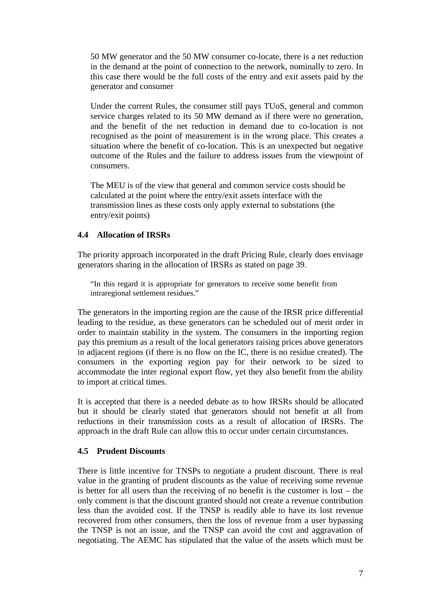50 MW generator and the 50 MW consumer co-locate, there is a net reduction in the demand at the point of connection to the network, nominally to zero. In this case there would be the full costs of the entry and exit assets paid by the generator and consumer

Under the current Rules, the consumer still pays TUoS, general and common service charges related to its 50 MW demand as if there were no generation, and the benefit of the net reduction in demand due to co-location is not recognised as the point of measurement is in the wrong place. This creates a situation where the benefit of co-location. This is an unexpected but negative outcome of the Rules and the failure to address issues from the viewpoint of consumers.

The MEU is of the view that general and common service costs should be calculated at the point where the entry/exit assets interface with the transmission lines as these costs only apply external to substations (the entry/exit points)

## **4.4 Allocation of IRSRs**

The priority approach incorporated in the draft Pricing Rule, clearly does envisage generators sharing in the allocation of IRSRs as stated on page 39.

"In this regard it is appropriate for generators to receive some benefit from intraregional settlement residues."

The generators in the importing region are the cause of the IRSR price differential leading to the residue, as these generators can be scheduled out of merit order in order to maintain stability in the system. The consumers in the importing region pay this premium as a result of the local generators raising prices above generators in adjacent regions (if there is no flow on the IC, there is no residue created). The consumers in the exporting region pay for their network to be sized to accommodate the inter regional export flow, yet they also benefit from the ability to import at critical times.

It is accepted that there is a needed debate as to how IRSRs should be allocated but it should be clearly stated that generators should not benefit at all from reductions in their transmission costs as a result of allocation of IRSRs. The approach in the draft Rule can allow this to occur under certain circumstances.

## **4.5 Prudent Discounts**

There is little incentive for TNSPs to negotiate a prudent discount. There is real value in the granting of prudent discounts as the value of receiving some revenue is better for all users than the receiving of no benefit is the customer is lost – the only comment is that the discount granted should not create a revenue contribution less than the avoided cost. If the TNSP is readily able to have its lost revenue recovered from other consumers, then the loss of revenue from a user bypassing the TNSP is not an issue, and the TNSP can avoid the cost and aggravation of negotiating. The AEMC has stipulated that the value of the assets which must be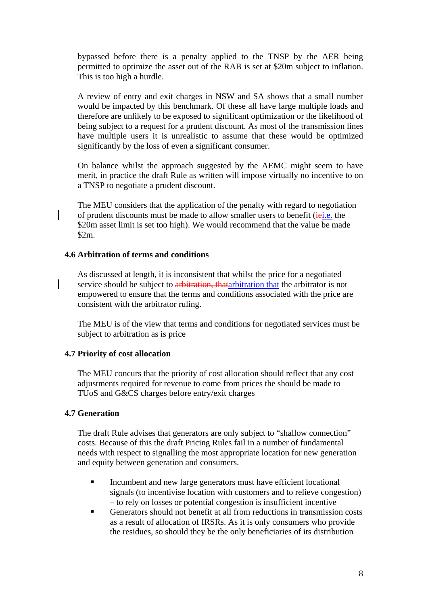bypassed before there is a penalty applied to the TNSP by the AER being permitted to optimize the asset out of the RAB is set at \$20m subject to inflation. This is too high a hurdle.

A review of entry and exit charges in NSW and SA shows that a small number would be impacted by this benchmark. Of these all have large multiple loads and therefore are unlikely to be exposed to significant optimization or the likelihood of being subject to a request for a prudent discount. As most of the transmission lines have multiple users it is unrealistic to assume that these would be optimized significantly by the loss of even a significant consumer.

On balance whilst the approach suggested by the AEMC might seem to have merit, in practice the draft Rule as written will impose virtually no incentive to on a TNSP to negotiate a prudent discount.

The MEU considers that the application of the penalty with regard to negotiation of prudent discounts must be made to allow smaller users to benefit (*iei.e.* the \$20m asset limit is set too high). We would recommend that the value be made \$2m.

## **4.6 Arbitration of terms and conditions**

As discussed at length, it is inconsistent that whilst the price for a negotiated service should be subject to arbitration, that arbitration that the arbitrator is not empowered to ensure that the terms and conditions associated with the price are consistent with the arbitrator ruling.

The MEU is of the view that terms and conditions for negotiated services must be subject to arbitration as is price

## **4.7 Priority of cost allocation**

The MEU concurs that the priority of cost allocation should reflect that any cost adjustments required for revenue to come from prices the should be made to TUoS and G&CS charges before entry/exit charges

## **4.7 Generation**

The draft Rule advises that generators are only subject to "shallow connection" costs. Because of this the draft Pricing Rules fail in a number of fundamental needs with respect to signalling the most appropriate location for new generation and equity between generation and consumers.

- Incumbent and new large generators must have efficient locational signals (to incentivise location with customers and to relieve congestion) – to rely on losses or potential congestion is insufficient incentive
- Generators should not benefit at all from reductions in transmission costs as a result of allocation of IRSRs. As it is only consumers who provide the residues, so should they be the only beneficiaries of its distribution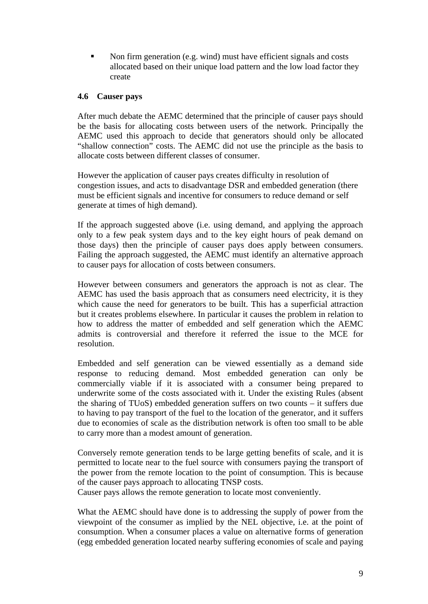Non firm generation (e.g. wind) must have efficient signals and costs allocated based on their unique load pattern and the low load factor they create

## **4.6 Causer pays**

After much debate the AEMC determined that the principle of causer pays should be the basis for allocating costs between users of the network. Principally the AEMC used this approach to decide that generators should only be allocated "shallow connection" costs. The AEMC did not use the principle as the basis to allocate costs between different classes of consumer.

However the application of causer pays creates difficulty in resolution of congestion issues, and acts to disadvantage DSR and embedded generation (there must be efficient signals and incentive for consumers to reduce demand or self generate at times of high demand).

If the approach suggested above (i.e. using demand, and applying the approach only to a few peak system days and to the key eight hours of peak demand on those days) then the principle of causer pays does apply between consumers. Failing the approach suggested, the AEMC must identify an alternative approach to causer pays for allocation of costs between consumers.

However between consumers and generators the approach is not as clear. The AEMC has used the basis approach that as consumers need electricity, it is they which cause the need for generators to be built. This has a superficial attraction but it creates problems elsewhere. In particular it causes the problem in relation to how to address the matter of embedded and self generation which the AEMC admits is controversial and therefore it referred the issue to the MCE for resolution.

Embedded and self generation can be viewed essentially as a demand side response to reducing demand. Most embedded generation can only be commercially viable if it is associated with a consumer being prepared to underwrite some of the costs associated with it. Under the existing Rules (absent the sharing of TUoS) embedded generation suffers on two counts – it suffers due to having to pay transport of the fuel to the location of the generator, and it suffers due to economies of scale as the distribution network is often too small to be able to carry more than a modest amount of generation.

Conversely remote generation tends to be large getting benefits of scale, and it is permitted to locate near to the fuel source with consumers paying the transport of the power from the remote location to the point of consumption. This is because of the causer pays approach to allocating TNSP costs.

Causer pays allows the remote generation to locate most conveniently.

What the AEMC should have done is to addressing the supply of power from the viewpoint of the consumer as implied by the NEL objective, i.e. at the point of consumption. When a consumer places a value on alternative forms of generation (egg embedded generation located nearby suffering economies of scale and paying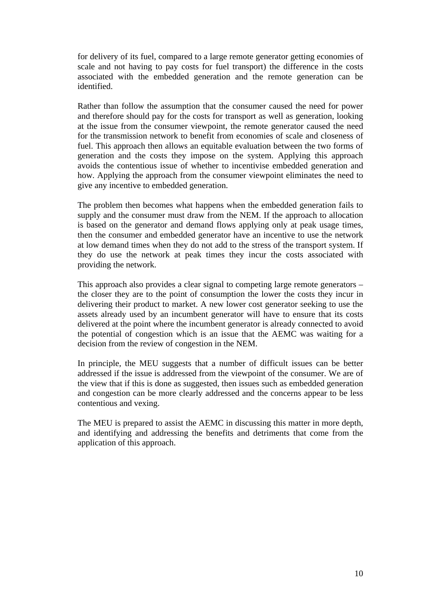for delivery of its fuel, compared to a large remote generator getting economies of scale and not having to pay costs for fuel transport) the difference in the costs associated with the embedded generation and the remote generation can be identified.

Rather than follow the assumption that the consumer caused the need for power and therefore should pay for the costs for transport as well as generation, looking at the issue from the consumer viewpoint, the remote generator caused the need for the transmission network to benefit from economies of scale and closeness of fuel. This approach then allows an equitable evaluation between the two forms of generation and the costs they impose on the system. Applying this approach avoids the contentious issue of whether to incentivise embedded generation and how. Applying the approach from the consumer viewpoint eliminates the need to give any incentive to embedded generation.

The problem then becomes what happens when the embedded generation fails to supply and the consumer must draw from the NEM. If the approach to allocation is based on the generator and demand flows applying only at peak usage times, then the consumer and embedded generator have an incentive to use the network at low demand times when they do not add to the stress of the transport system. If they do use the network at peak times they incur the costs associated with providing the network.

This approach also provides a clear signal to competing large remote generators – the closer they are to the point of consumption the lower the costs they incur in delivering their product to market. A new lower cost generator seeking to use the assets already used by an incumbent generator will have to ensure that its costs delivered at the point where the incumbent generator is already connected to avoid the potential of congestion which is an issue that the AEMC was waiting for a decision from the review of congestion in the NEM.

In principle, the MEU suggests that a number of difficult issues can be better addressed if the issue is addressed from the viewpoint of the consumer. We are of the view that if this is done as suggested, then issues such as embedded generation and congestion can be more clearly addressed and the concerns appear to be less contentious and vexing.

The MEU is prepared to assist the AEMC in discussing this matter in more depth, and identifying and addressing the benefits and detriments that come from the application of this approach.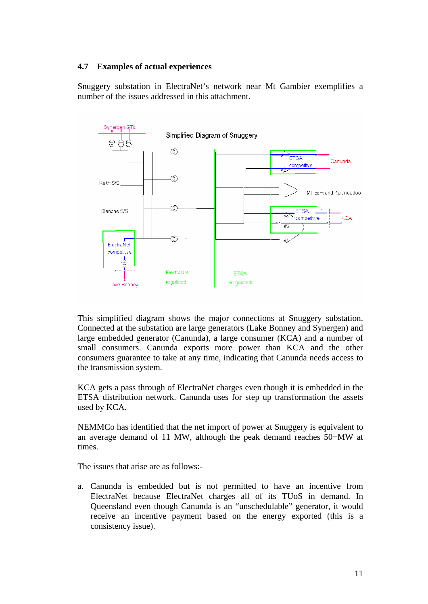## **4.7 Examples of actual experiences**

Snuggery substation in ElectraNet's network near Mt Gambier exemplifies a number of the issues addressed in this attachment.



This simplified diagram shows the major connections at Snuggery substation. Connected at the substation are large generators (Lake Bonney and Synergen) and large embedded generator (Canunda), a large consumer (KCA) and a number of small consumers. Canunda exports more power than KCA and the other consumers guarantee to take at any time, indicating that Canunda needs access to the transmission system.

KCA gets a pass through of ElectraNet charges even though it is embedded in the ETSA distribution network. Canunda uses for step up transformation the assets used by KCA.

NEMMCo has identified that the net import of power at Snuggery is equivalent to an average demand of 11 MW, although the peak demand reaches 50+MW at times.

The issues that arise are as follows:-

a. Canunda is embedded but is not permitted to have an incentive from ElectraNet because ElectraNet charges all of its TUoS in demand. In Queensland even though Canunda is an "unschedulable" generator, it would receive an incentive payment based on the energy exported (this is a consistency issue).